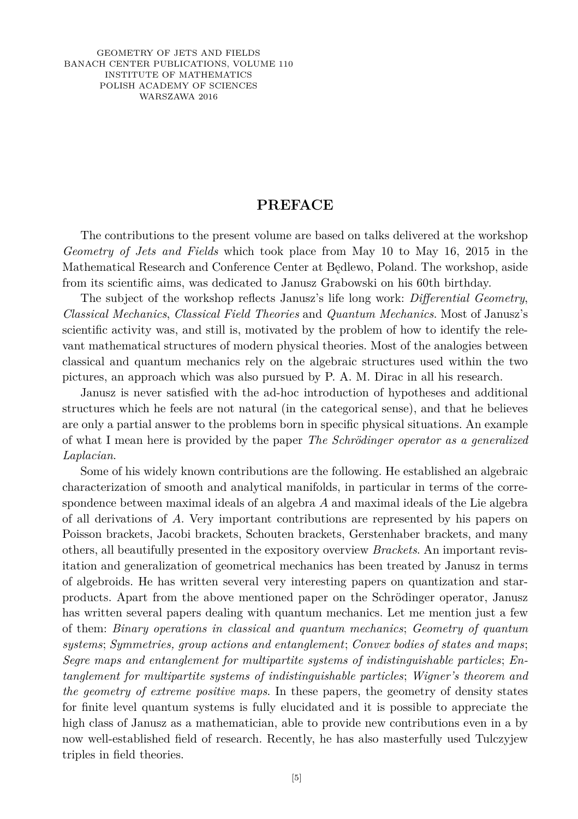GEOMETRY OF JETS AND FIELDS BANACH CENTER PUBLICATIONS, VOLUME 110 INSTITUTE OF MATHEMATICS POLISH ACADEMY OF SCIENCES WARSZAWA 2016

## **PREFACE**

The contributions to the present volume are based on talks delivered at the workshop *Geometry of Jets and Fields* which took place from May 10 to May 16, 2015 in the Mathematical Research and Conference Center at Będlewo, Poland. The workshop, aside from its scientific aims, was dedicated to Janusz Grabowski on his 60th birthday.

The subject of the workshop reflects Janusz's life long work: *Differential Geometry*, *Classical Mechanics*, *Classical Field Theories* and *Quantum Mechanics*. Most of Janusz's scientific activity was, and still is, motivated by the problem of how to identify the relevant mathematical structures of modern physical theories. Most of the analogies between classical and quantum mechanics rely on the algebraic structures used within the two pictures, an approach which was also pursued by P. A. M. Dirac in all his research.

Janusz is never satisfied with the ad-hoc introduction of hypotheses and additional structures which he feels are not natural (in the categorical sense), and that he believes are only a partial answer to the problems born in specific physical situations. An example of what I mean here is provided by the paper *The Schrödinger operator as a generalized Laplacian*.

Some of his widely known contributions are the following. He established an algebraic characterization of smooth and analytical manifolds, in particular in terms of the correspondence between maximal ideals of an algebra *A* and maximal ideals of the Lie algebra of all derivations of *A*. Very important contributions are represented by his papers on Poisson brackets, Jacobi brackets, Schouten brackets, Gerstenhaber brackets, and many others, all beautifully presented in the expository overview *Brackets*. An important revisitation and generalization of geometrical mechanics has been treated by Janusz in terms of algebroids. He has written several very interesting papers on quantization and starproducts. Apart from the above mentioned paper on the Schrödinger operator, Janusz has written several papers dealing with quantum mechanics. Let me mention just a few of them: *Binary operations in classical and quantum mechanics*; *Geometry of quantum systems*; *Symmetries, group actions and entanglement*; *Convex bodies of states and maps*; *Segre maps and entanglement for multipartite systems of indistinguishable particles*; *Entanglement for multipartite systems of indistinguishable particles*; *Wigner's theorem and the geometry of extreme positive maps*. In these papers, the geometry of density states for finite level quantum systems is fully elucidated and it is possible to appreciate the high class of Janusz as a mathematician, able to provide new contributions even in a by now well-established field of research. Recently, he has also masterfully used Tulczyjew triples in field theories.